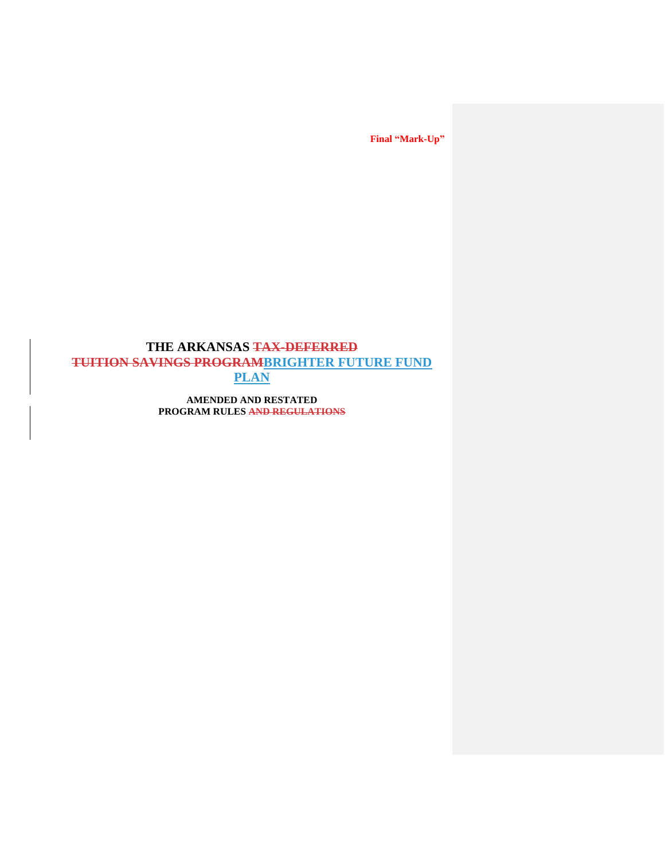# **THE ARKANSAS TAX-DEFERRED TUITION SAVINGS PROGRAMBRIGHTER FUTURE FUND PLAN**

**AMENDED AND RESTATED PROGRAM RULES AND REGULATIONS**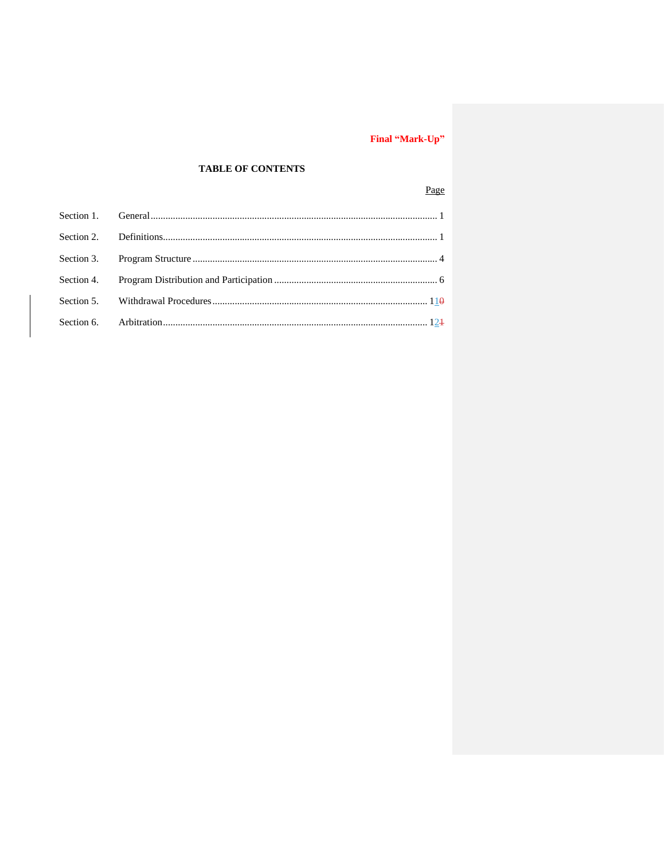## **TABLE OF CONTENTS**

## Page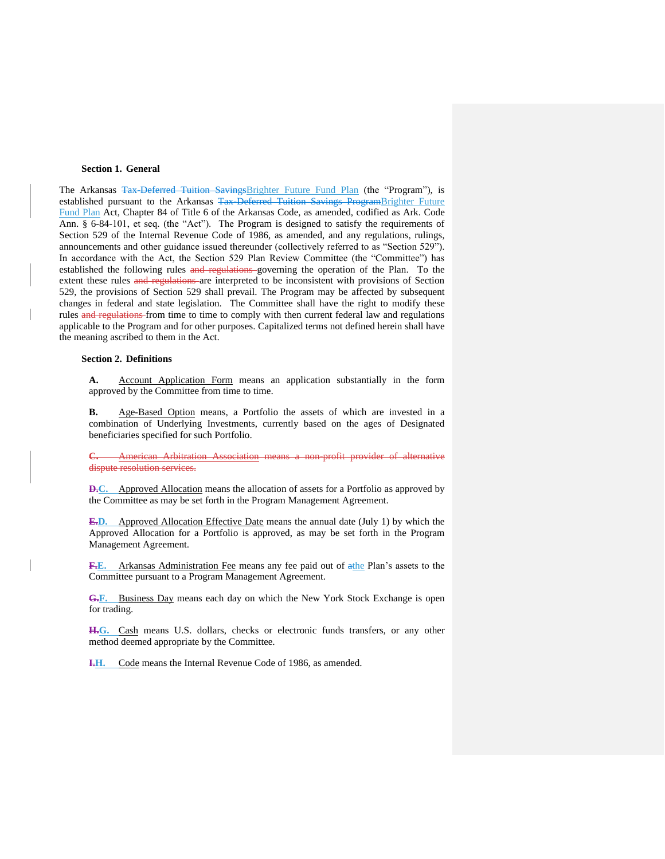#### **Section 1. General**

The Arkansas Tax-Deferred Tuition SavingsBrighter Future Fund Plan (the "Program"), is established pursuant to the Arkansas Tax-Deferred Tuition Savings ProgramBrighter Future Fund Plan Act, Chapter 84 of Title 6 of the Arkansas Code, as amended, codified as Ark. Code Ann. § 6-84-101, et seq. (the "Act"). The Program is designed to satisfy the requirements of Section 529 of the Internal Revenue Code of 1986, as amended, and any regulations, rulings, announcements and other guidance issued thereunder (collectively referred to as "Section 529"). In accordance with the Act, the Section 529 Plan Review Committee (the "Committee") has established the following rules and regulations governing the operation of the Plan. To the extent these rules and regulations are interpreted to be inconsistent with provisions of Section 529, the provisions of Section 529 shall prevail. The Program may be affected by subsequent changes in federal and state legislation. The Committee shall have the right to modify these rules and regulations from time to time to comply with then current federal law and regulations applicable to the Program and for other purposes. Capitalized terms not defined herein shall have the meaning ascribed to them in the Act.

#### **Section 2. Definitions**

**A.** Account Application Form means an application substantially in the form approved by the Committee from time to time.

**B.** Age-Based Option means, a Portfolio the assets of which are invested in a combination of Underlying Investments, currently based on the ages of Designated beneficiaries specified for such Portfolio.

**American Arbitration Association means a non-profit provider of alternative** dispute resolution services.

**D.C.** Approved Allocation means the allocation of assets for a Portfolio as approved by the Committee as may be set forth in the Program Management Agreement.

**E.D.** Approved Allocation Effective Date means the annual date (July 1) by which the Approved Allocation for a Portfolio is approved, as may be set forth in the Program Management Agreement.

F.E. Arkansas Administration Fee means any fee paid out of athe Plan's assets to the Committee pursuant to a Program Management Agreement.

**G.F.** Business Day means each day on which the New York Stock Exchange is open for trading.

**H.G.** Cash means U.S. dollars, checks or electronic funds transfers, or any other method deemed appropriate by the Committee.

**I.H.** Code means the Internal Revenue Code of 1986, as amended.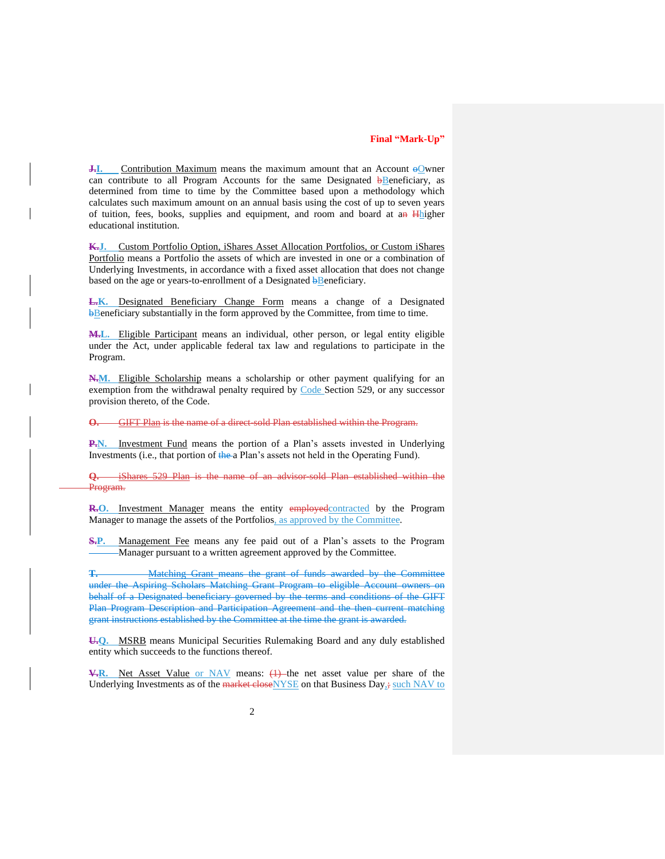$\overline{J}$ . Contribution Maximum means the maximum amount that an Account  $\Theta$  owner can contribute to all Program Accounts for the same Designated  $\overline{b}$ Beneficiary, as determined from time to time by the Committee based upon a methodology which calculates such maximum amount on an annual basis using the cost of up to seven years of tuition, fees, books, supplies and equipment, and room and board at an Hhigher educational institution.

**K.J.** Custom Portfolio Option, iShares Asset Allocation Portfolios, or Custom iShares Portfolio means a Portfolio the assets of which are invested in one or a combination of Underlying Investments, in accordance with a fixed asset allocation that does not change based on the age or years-to-enrollment of a Designated bBeneficiary.

**L.K.** Designated Beneficiary Change Form means a change of a Designated **bBeneficiary substantially in the form approved by the Committee, from time to time.** 

**M.L.** Eligible Participant means an individual, other person, or legal entity eligible under the Act, under applicable federal tax law and regulations to participate in the Program.

**N.M.** Eligible Scholarship means a scholarship or other payment qualifying for an exemption from the withdrawal penalty required by Code Section 529, or any successor provision thereto, of the Code.

**O.** GIFT Plan is the name of a direct-sold Plan established within the Program.

**P.N.** Investment Fund means the portion of a Plan's assets invested in Underlying Investments (i.e., that portion of the a Plan's assets not held in the Operating Fund).

**Q.** iShares 529 Plan is the name of an advisor-sold Plan established within the Program.

**R.O.** Investment Manager means the entity employed contracted by the Program Manager to manage the assets of the Portfolios, as approved by the Committee.

**S.P.** Management Fee means any fee paid out of a Plan's assets to the Program Manager pursuant to a written agreement approved by the Committee.

**T.** Matching Grant means the grant of funds awarded by the Committee under the Aspiring Scholars Matching Grant Program to eligible Account owners on behalf of a Designated beneficiary governed by the terms and conditions of the GIFT Plan Program Description and Participation Agreement and the then current matching grant instructions established by the Committee at the time the grant is awarded.

**U.Q.** MSRB means Municipal Securities Rulemaking Board and any duly established entity which succeeds to the functions thereof.

**V.R.** Net Asset Value or NAV means: (1) the net asset value per share of the Underlying Investments as of the market close NYSE on that Business Day<sub>s</sub>; such NAV to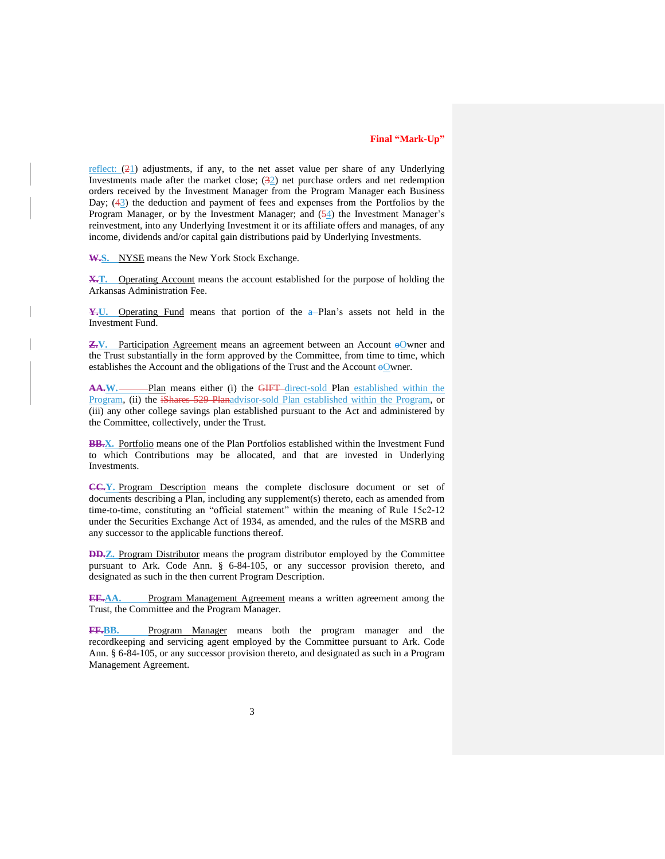reflect:  $(21)$  adjustments, if any, to the net asset value per share of any Underlying Investments made after the market close;  $(32)$  net purchase orders and net redemption orders received by the Investment Manager from the Program Manager each Business Day; (43) the deduction and payment of fees and expenses from the Portfolios by the Program Manager, or by the Investment Manager; and  $(54)$  the Investment Manager's reinvestment, into any Underlying Investment it or its affiliate offers and manages, of any income, dividends and/or capital gain distributions paid by Underlying Investments.

W.S. NYSE means the New York Stock Exchange.

**X.T.** Operating Account means the account established for the purpose of holding the Arkansas Administration Fee.

**¥.**U. Operating Fund means that portion of the a–Plan's assets not held in the Investment Fund.

**Z.V.** Participation Agreement means an agreement between an Account  $\Theta$  owner and the Trust substantially in the form approved by the Committee, from time to time, which establishes the Account and the obligations of the Trust and the Account  $\Theta$ Wener.

AA.W. Plan means either (i) the GIFT direct-sold Plan established within the Program, (ii) the iShares 529 Planadvisor-sold Plan established within the Program, or (iii) any other college savings plan established pursuant to the Act and administered by the Committee, collectively, under the Trust.

**BB.X.** Portfolio means one of the Plan Portfolios established within the Investment Fund to which Contributions may be allocated, and that are invested in Underlying Investments.

**CC.Y.** Program Description means the complete disclosure document or set of documents describing a Plan, including any supplement(s) thereto, each as amended from time-to-time, constituting an "official statement" within the meaning of Rule 15c2-12 under the Securities Exchange Act of 1934, as amended, and the rules of the MSRB and any successor to the applicable functions thereof.

**DD.Z.** Program Distributor means the program distributor employed by the Committee pursuant to Ark. Code Ann. § 6-84-105, or any successor provision thereto, and designated as such in the then current Program Description.

**EE.AA.** Program Management Agreement means a written agreement among the Trust, the Committee and the Program Manager.

**FF.BB.** Program Manager means both the program manager and the recordkeeping and servicing agent employed by the Committee pursuant to Ark. Code Ann. § 6-84-105, or any successor provision thereto, and designated as such in a Program Management Agreement.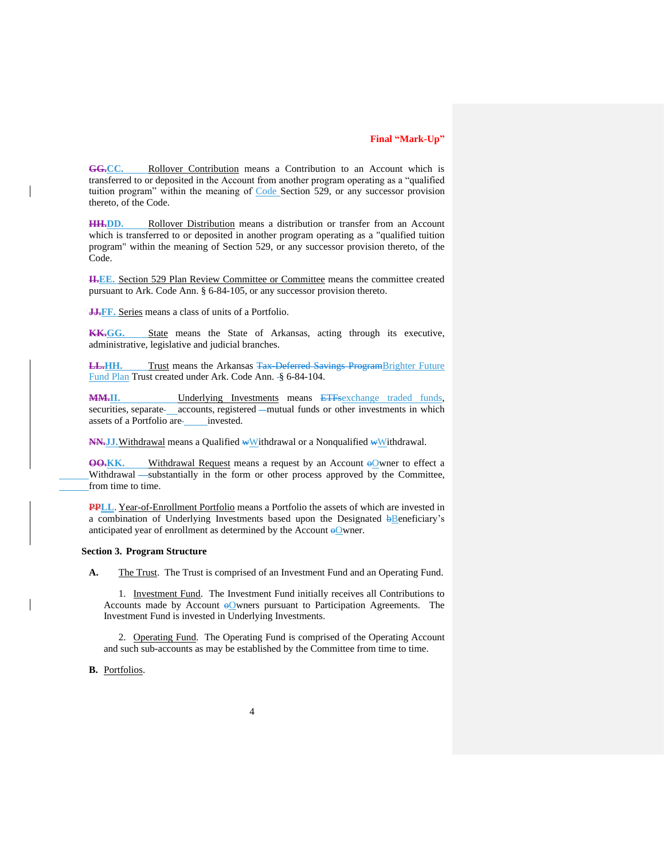**GG.CC.** Rollover Contribution means a Contribution to an Account which is transferred to or deposited in the Account from another program operating as a "qualified tuition program" within the meaning of Code Section 529, or any successor provision thereto, of the Code.

**HH.DD.** Rollover Distribution means a distribution or transfer from an Account which is transferred to or deposited in another program operating as a "qualified tuition program" within the meaning of Section 529, or any successor provision thereto, of the Code.

**II.EE.** Section 529 Plan Review Committee or Committee means the committee created pursuant to Ark. Code Ann. § 6-84-105, or any successor provision thereto.

**J.F.F.** Series means a class of units of a Portfolio.

**KK.GG.** State means the State of Arkansas, acting through its executive, administrative, legislative and judicial branches.

**LL.HH.** Trust means the Arkansas Tax-Deferred Savings ProgramBrighter Future Fund Plan Trust created under Ark. Code Ann. § 6-84-104.

**MM.II.** Underlying Investments means ETFsexchange traded funds, securities, separate accounts, registered —mutual funds or other investments in which assets of a Portfolio are-<br>invested.

**NN.JJ.**Withdrawal means a Qualified wWithdrawal or a Nonqualified wWithdrawal.

**OO.KK.** Withdrawal Request means a request by an Account o Owner to effect a Withdrawal -substantially in the form or other process approved by the Committee, from time to time.

**PPLL**. Year-of-Enrollment Portfolio means a Portfolio the assets of which are invested in a combination of Underlying Investments based upon the Designated  $\frac{1}{2}$ Beneficiary's anticipated year of enrollment as determined by the Account  $\Theta$  wner.

#### **Section 3. Program Structure**

**A.** The Trust. The Trust is comprised of an Investment Fund and an Operating Fund.

1. Investment Fund. The Investment Fund initially receives all Contributions to Accounts made by Account  $\Theta$  wners pursuant to Participation Agreements. The Investment Fund is invested in Underlying Investments.

2. Operating Fund. The Operating Fund is comprised of the Operating Account and such sub-accounts as may be established by the Committee from time to time.

#### **B.** Portfolios.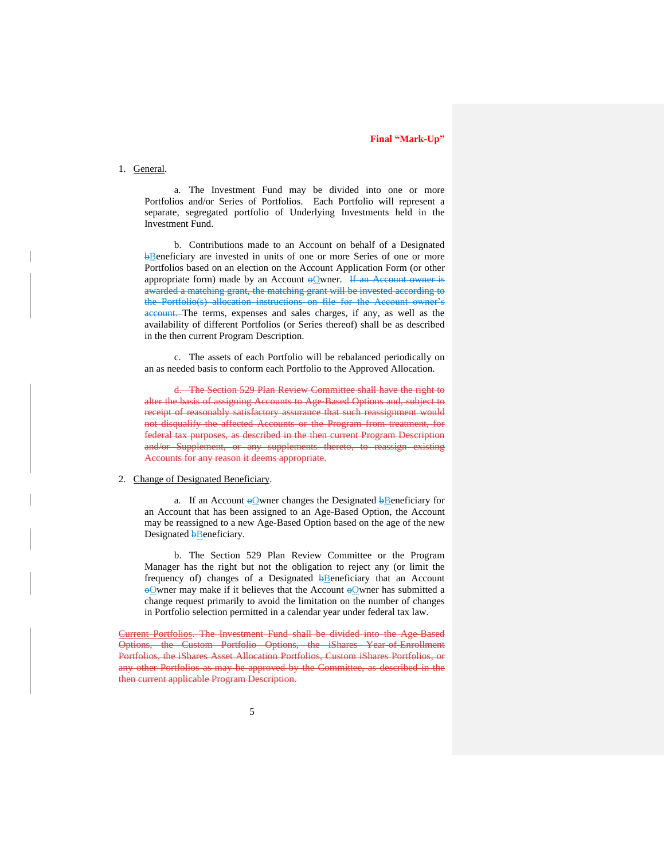### 1. General.

a. The Investment Fund may be divided into one or more Portfolios and/or Series of Portfolios. Each Portfolio will represent a separate, segregated portfolio of Underlying Investments held in the Investment Fund.

b. Contributions made to an Account on behalf of a Designated **bBeneficiary** are invested in units of one or more Series of one or more Portfolios based on an election on the Account Application Form (or other appropriate form) made by an Account  $\Theta$  wner. If an Account owner is awarded a matching grant, the matching grant will be invested according to the Portfolio(s) allocation instructions on file for the Account owner's account. The terms, expenses and sales charges, if any, as well as the availability of different Portfolios (or Series thereof) shall be as described in the then current Program Description.

c. The assets of each Portfolio will be rebalanced periodically on an as needed basis to conform each Portfolio to the Approved Allocation.

d. The Section 529 Plan Review Committee shall have the right to alter the basis of assigning Accounts to Age-Based Options and, subject to receipt of reasonably satisfactory assurance that such reassignment would not disqualify the affected Accounts or the Program from treatment, for federal tax purposes, as described in the then current Program Description and/or Supplement, or any supplements thereto, to reassign existing Accounts for any reason it deems appropriate.

#### 2. Change of Designated Beneficiary.

a. If an Account  $\Theta$  wner changes the Designated  $\overline{\Theta}$  beneficiary for an Account that has been assigned to an Age-Based Option, the Account may be reassigned to a new Age-Based Option based on the age of the new Designated **b**Beneficiary.

b. The Section 529 Plan Review Committee or the Program Manager has the right but not the obligation to reject any (or limit the frequency of) changes of a Designated bBeneficiary that an Account  $\Theta$ We may make if it believes that the Account  $\Theta$ We mer has submitted a change request primarily to avoid the limitation on the number of changes in Portfolio selection permitted in a calendar year under federal tax law.

Current Portfolios. The Investment Fund shall be divided into the Age-Based Options, the Custom Portfolio Options, the iShares Year-of-Enrollment Portfolios, the iShares Asset Allocation Portfolios, Custom iShares Portfolios, or any other Portfolios as may be approved by the Committee, as described in the then current applicable Program Description.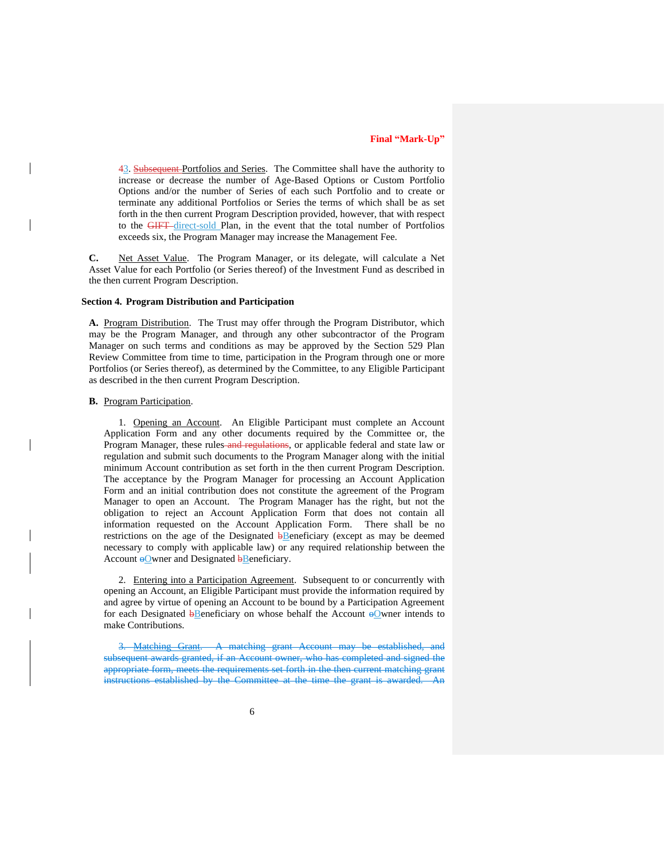43. Subsequent Portfolios and Series. The Committee shall have the authority to increase or decrease the number of Age-Based Options or Custom Portfolio Options and/or the number of Series of each such Portfolio and to create or terminate any additional Portfolios or Series the terms of which shall be as set forth in the then current Program Description provided, however, that with respect to the GIFT direct-sold Plan, in the event that the total number of Portfolios exceeds six, the Program Manager may increase the Management Fee.

**C.** Net Asset Value. The Program Manager, or its delegate, will calculate a Net Asset Value for each Portfolio (or Series thereof) of the Investment Fund as described in the then current Program Description.

#### **Section 4. Program Distribution and Participation**

**A.** Program Distribution. The Trust may offer through the Program Distributor, which may be the Program Manager, and through any other subcontractor of the Program Manager on such terms and conditions as may be approved by the Section 529 Plan Review Committee from time to time, participation in the Program through one or more Portfolios (or Series thereof), as determined by the Committee, to any Eligible Participant as described in the then current Program Description.

#### **B.** Program Participation.

1. Opening an Account. An Eligible Participant must complete an Account Application Form and any other documents required by the Committee or, the Program Manager, these rules-and regulations, or applicable federal and state law or regulation and submit such documents to the Program Manager along with the initial minimum Account contribution as set forth in the then current Program Description. The acceptance by the Program Manager for processing an Account Application Form and an initial contribution does not constitute the agreement of the Program Manager to open an Account. The Program Manager has the right, but not the obligation to reject an Account Application Form that does not contain all information requested on the Account Application Form. There shall be no restrictions on the age of the Designated **b**Beneficiary (except as may be deemed necessary to comply with applicable law) or any required relationship between the Account  $\Theta$ Wener and Designated  $\overline{\Theta}$ Beneficiary.

2. Entering into a Participation Agreement. Subsequent to or concurrently with opening an Account, an Eligible Participant must provide the information required by and agree by virtue of opening an Account to be bound by a Participation Agreement for each Designated  $\frac{1}{2}$ Beneficiary on whose behalf the Account  $\frac{1}{2}$ Owner intends to make Contributions.

**Matching Grant.** A matching grant Account may be subsequent awards granted, if an Account owner, who has completed and signed the appropriate form, meets the requirements set forth in the then current matching grant instructions established by the Committee at the time the grant is awarded.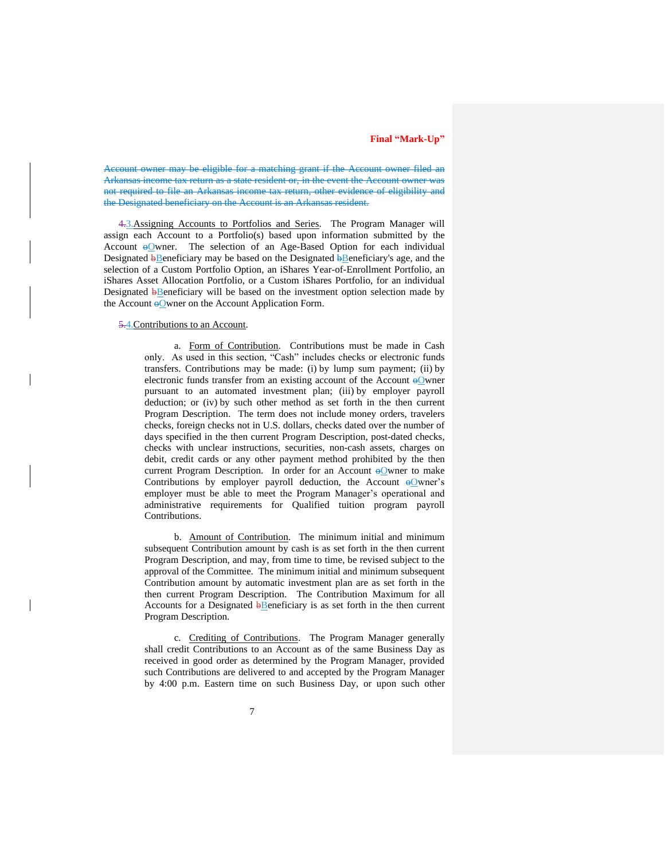Account owner may be eligible for a matching grant if the Account owner filed an Arkansas income tax return as a state resident or, in the event the Account owner was not required to file an Arkansas income tax return, other evidence of eligibility and the Designated beneficiary on the Account is an Arkansas resident.

4.3.Assigning Accounts to Portfolios and Series. The Program Manager will assign each Account to a Portfolio(s) based upon information submitted by the Account  $\Theta$  owner. The selection of an Age-Based Option for each individual Designated **b**Beneficiary may be based on the Designated **bBeneficiary's** age, and the selection of a Custom Portfolio Option, an iShares Year-of-Enrollment Portfolio, an iShares Asset Allocation Portfolio, or a Custom iShares Portfolio, for an individual Designated **b**Beneficiary will be based on the investment option selection made by the Account  $\Theta$  Owner on the Account Application Form.

#### 5.4.Contributions to an Account.

a. Form of Contribution. Contributions must be made in Cash only. As used in this section, "Cash" includes checks or electronic funds transfers. Contributions may be made: (i) by lump sum payment; (ii) by electronic funds transfer from an existing account of the Account  $\Theta$  wner pursuant to an automated investment plan; (iii) by employer payroll deduction; or (iv) by such other method as set forth in the then current Program Description. The term does not include money orders, travelers checks, foreign checks not in U.S. dollars, checks dated over the number of days specified in the then current Program Description, post-dated checks, checks with unclear instructions, securities, non-cash assets, charges on debit, credit cards or any other payment method prohibited by the then current Program Description. In order for an Account  $\Theta$  wner to make Contributions by employer payroll deduction, the Account  $\Theta$ Owner's employer must be able to meet the Program Manager's operational and administrative requirements for Qualified tuition program payroll Contributions.

b. Amount of Contribution. The minimum initial and minimum subsequent Contribution amount by cash is as set forth in the then current Program Description, and may, from time to time, be revised subject to the approval of the Committee. The minimum initial and minimum subsequent Contribution amount by automatic investment plan are as set forth in the then current Program Description. The Contribution Maximum for all Accounts for a Designated  $\frac{b}{b}$ Beneficiary is as set forth in the then current Program Description.

c. Crediting of Contributions. The Program Manager generally shall credit Contributions to an Account as of the same Business Day as received in good order as determined by the Program Manager, provided such Contributions are delivered to and accepted by the Program Manager by 4:00 p.m. Eastern time on such Business Day, or upon such other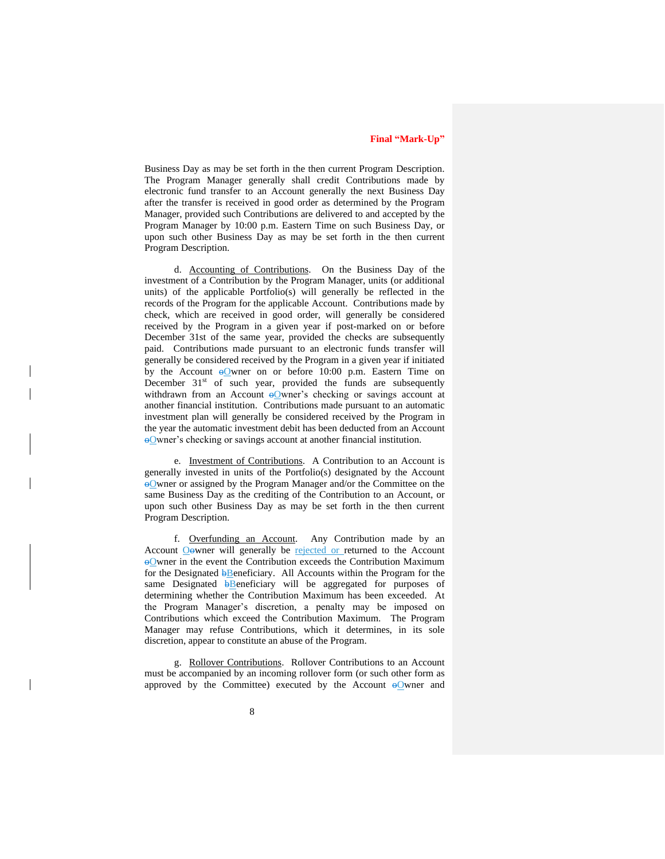Business Day as may be set forth in the then current Program Description. The Program Manager generally shall credit Contributions made by electronic fund transfer to an Account generally the next Business Day after the transfer is received in good order as determined by the Program Manager, provided such Contributions are delivered to and accepted by the Program Manager by 10:00 p.m. Eastern Time on such Business Day, or upon such other Business Day as may be set forth in the then current Program Description.

d. Accounting of Contributions. On the Business Day of the investment of a Contribution by the Program Manager, units (or additional units) of the applicable Portfolio(s) will generally be reflected in the records of the Program for the applicable Account. Contributions made by check, which are received in good order, will generally be considered received by the Program in a given year if post-marked on or before December 31st of the same year, provided the checks are subsequently paid. Contributions made pursuant to an electronic funds transfer will generally be considered received by the Program in a given year if initiated by the Account  $\Theta$ Owner on or before 10:00 p.m. Eastern Time on December  $31<sup>st</sup>$  of such year, provided the funds are subsequently withdrawn from an Account  $\Theta$ Owner's checking or savings account at another financial institution. Contributions made pursuant to an automatic investment plan will generally be considered received by the Program in the year the automatic investment debit has been deducted from an Account oOwner's checking or savings account at another financial institution.

e. Investment of Contributions. A Contribution to an Account is generally invested in units of the Portfolio(s) designated by the Account oOwner or assigned by the Program Manager and/or the Committee on the same Business Day as the crediting of the Contribution to an Account, or upon such other Business Day as may be set forth in the then current Program Description.

f. Overfunding an Account. Any Contribution made by an Account Oowner will generally be rejected or returned to the Account oOwner in the event the Contribution exceeds the Contribution Maximum for the Designated **b**Beneficiary. All Accounts within the Program for the same Designated **b**Beneficiary will be aggregated for purposes of determining whether the Contribution Maximum has been exceeded. At the Program Manager's discretion, a penalty may be imposed on Contributions which exceed the Contribution Maximum. The Program Manager may refuse Contributions, which it determines, in its sole discretion, appear to constitute an abuse of the Program.

g. Rollover Contributions. Rollover Contributions to an Account must be accompanied by an incoming rollover form (or such other form as approved by the Committee) executed by the Account  $\Theta$ Owner and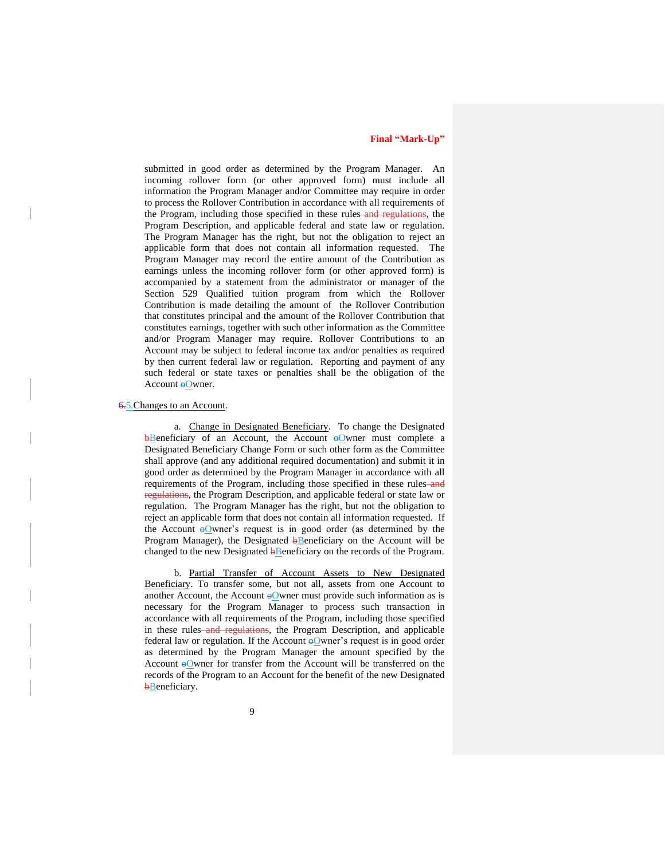submitted in good order as determined by the Program Manager. An incoming rollover form (or other approved form) must include all information the Program Manager and/or Committee may require in order to process the Rollover Contribution in accordance with all requirements of the Program, including those specified in these rules-and regulations, the Program Description, and applicable federal and state law or regulation. The Program Manager has the right, but not the obligation to reject an applicable form that does not contain all information requested. The Program Manager may record the entire amount of the Contribution as earnings unless the incoming rollover form (or other approved form) is accompanied by a statement from the administrator or manager of the Section 529 Qualified tuition program from which the Rollover Contribution is made detailing the amount of the Rollover Contribution that constitutes principal and the amount of the Rollover Contribution that constitutes earnings, together with such other information as the Committee and/or Program Manager may require. Rollover Contributions to an Account may be subject to federal income tax and/or penalties as required by then current federal law or regulation. Reporting and payment of any such federal or state taxes or penalties shall be the obligation of the Account  $\Theta$ Owner.

#### 6.5.Changes to an Account.

a. Change in Designated Beneficiary. To change the Designated  $b$ Beneficiary of an Account, the Account  $b$ Owner must complete a Designated Beneficiary Change Form or such other form as the Committee shall approve (and any additional required documentation) and submit it in good order as determined by the Program Manager in accordance with all requirements of the Program, including those specified in these rules-and regulations, the Program Description, and applicable federal or state law or regulation. The Program Manager has the right, but not the obligation to reject an applicable form that does not contain all information requested. If the Account  $\Theta$ Owner's request is in good order (as determined by the Program Manager), the Designated  $\overline{\mathbf{b}}$ Beneficiary on the Account will be changed to the new Designated  $\frac{1}{2}$ Beneficiary on the records of the Program.

b. Partial Transfer of Account Assets to New Designated Beneficiary. To transfer some, but not all, assets from one Account to another Account, the Account  $\Theta$  owner must provide such information as is necessary for the Program Manager to process such transaction in accordance with all requirements of the Program, including those specified in these rules-and regulations, the Program Description, and applicable federal law or regulation. If the Account  $\Theta$  wner's request is in good order as determined by the Program Manager the amount specified by the Account  $\Theta$ Owner for transfer from the Account will be transferred on the records of the Program to an Account for the benefit of the new Designated **b**Beneficiary.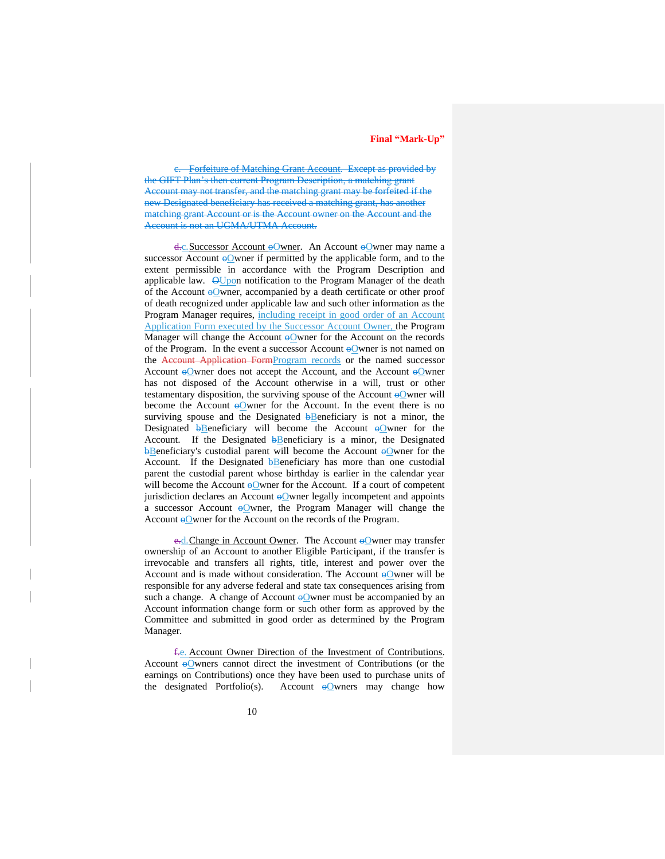c. Forfeiture of Matching Grant Account. Except as provided by the GIFT Plan's then current Program Description, a matching grant Account may not transfer, and the matching grant may be forfeited if the new Designated beneficiary has received a matching grant, has another matching grant Account or is the Account owner on the Account and the Account is not an UGMA/UTMA Account.

d.c. Successor Account oOwner. An Account oOwner may name a successor Account  $\Theta$ Owner if permitted by the applicable form, and to the extent permissible in accordance with the Program Description and applicable law.  $\Theta$ Upon notification to the Program Manager of the death of the Account  $\Theta$ Wener, accompanied by a death certificate or other proof of death recognized under applicable law and such other information as the Program Manager requires, including receipt in good order of an Account Application Form executed by the Successor Account Owner, the Program Manager will change the Account  $\Theta$ Owner for the Account on the records of the Program. In the event a successor Account  $\Theta$  where is not named on the Account Application FormProgram records or the named successor Account  $\Theta$ Owner does not accept the Account, and the Account  $\Theta$ Owner has not disposed of the Account otherwise in a will, trust or other testamentary disposition, the surviving spouse of the Account  $\Theta$  wner will become the Account  $\Theta$  where for the Account. In the event there is no surviving spouse and the Designated  $\frac{1}{2}$ Beneficiary is not a minor, the Designated  $\theta$ Beneficiary will become the Account  $\theta$ Owner for the Account. If the Designated  $\frac{1}{2}$ Beneficiary is a minor, the Designated **bBeneficiary's custodial parent will become the Account oOwner for the** Account. If the Designated  $\frac{1}{2}$ Beneficiary has more than one custodial parent the custodial parent whose birthday is earlier in the calendar year will become the Account  $\Theta$  owner for the Account. If a court of competent jurisdiction declares an Account  $\Theta$  owner legally incompetent and appoints a successor Account  $\Theta$ Owner, the Program Manager will change the Account  $\Theta$  owner for the Account on the records of the Program.

e.d. Change in Account Owner. The Account  $\Theta$  wner may transfer ownership of an Account to another Eligible Participant, if the transfer is irrevocable and transfers all rights, title, interest and power over the Account and is made without consideration. The Account  $\Theta$ Owner will be responsible for any adverse federal and state tax consequences arising from such a change. A change of Account  $\Theta$  wner must be accompanied by an Account information change form or such other form as approved by the Committee and submitted in good order as determined by the Program Manager.

f.e. Account Owner Direction of the Investment of Contributions. Account  $\Theta$ Owners cannot direct the investment of Contributions (or the earnings on Contributions) once they have been used to purchase units of the designated Portfolio(s). Account  $\Theta$  where may change how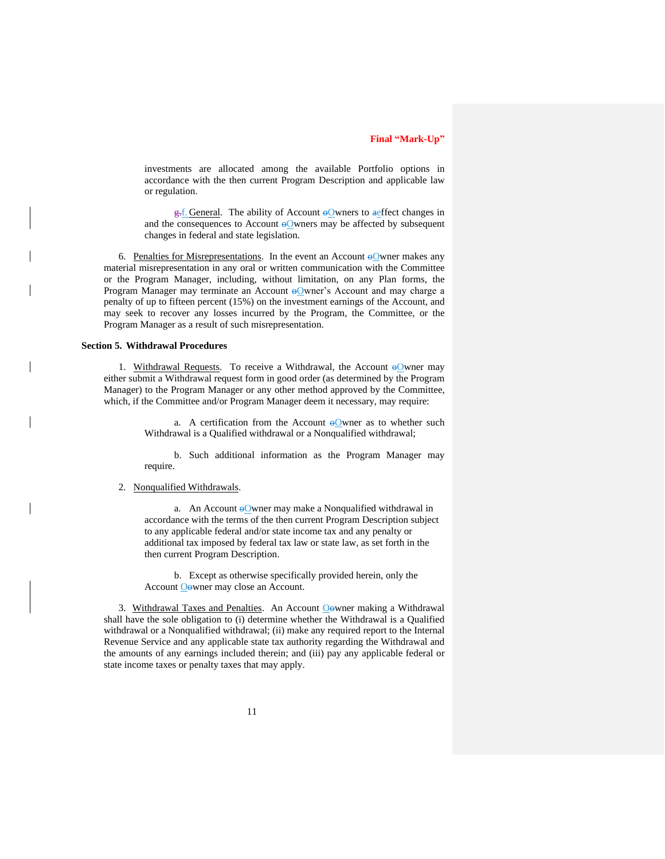investments are allocated among the available Portfolio options in accordance with the then current Program Description and applicable law or regulation.

 $\frac{1}{x}$ . General. The ability of Account  $\Theta$  wners to aeffect changes in and the consequences to Account  $\Theta$ Owners may be affected by subsequent changes in federal and state legislation.

6. Penalties for Misrepresentations. In the event an Account  $\Theta$  where makes any material misrepresentation in any oral or written communication with the Committee or the Program Manager, including, without limitation, on any Plan forms, the Program Manager may terminate an Account oOwner's Account and may charge a penalty of up to fifteen percent (15%) on the investment earnings of the Account, and may seek to recover any losses incurred by the Program, the Committee, or the Program Manager as a result of such misrepresentation.

#### **Section 5. Withdrawal Procedures**

1. Withdrawal Requests. To receive a Withdrawal, the Account  $\Theta$  wner may either submit a Withdrawal request form in good order (as determined by the Program Manager) to the Program Manager or any other method approved by the Committee, which, if the Committee and/or Program Manager deem it necessary, may require:

> a. A certification from the Account  $\Theta$  owner as to whether such Withdrawal is a Qualified withdrawal or a Nonqualified withdrawal;

> b. Such additional information as the Program Manager may require.

#### 2. Nonqualified Withdrawals.

a. An Account  $\Theta$ Owner may make a Nonqualified withdrawal in accordance with the terms of the then current Program Description subject to any applicable federal and/or state income tax and any penalty or additional tax imposed by federal tax law or state law, as set forth in the then current Program Description.

b. Except as otherwise specifically provided herein, only the Account Oowner may close an Account.

3. Withdrawal Taxes and Penalties. An Account Oowner making a Withdrawal shall have the sole obligation to (i) determine whether the Withdrawal is a Qualified withdrawal or a Nonqualified withdrawal; (ii) make any required report to the Internal Revenue Service and any applicable state tax authority regarding the Withdrawal and the amounts of any earnings included therein; and (iii) pay any applicable federal or state income taxes or penalty taxes that may apply.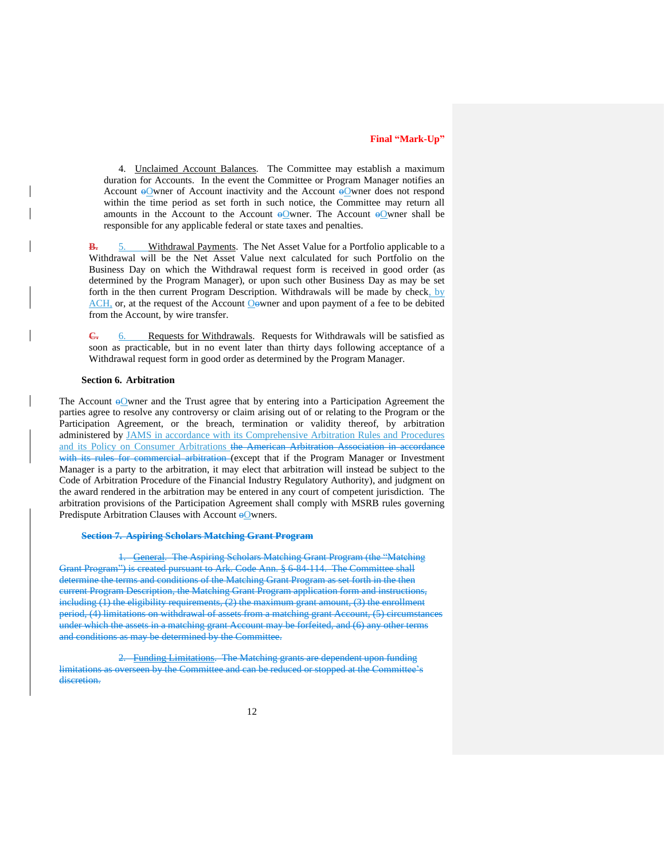4. Unclaimed Account Balances. The Committee may establish a maximum duration for Accounts. In the event the Committee or Program Manager notifies an Account  $\Theta$ Owner of Account inactivity and the Account  $\Theta$ Owner does not respond within the time period as set forth in such notice, the Committee may return all amounts in the Account to the Account  $\Theta$  wher. The Account  $\Theta$  wher shall be responsible for any applicable federal or state taxes and penalties.

**B.** 5. Withdrawal Payments. The Net Asset Value for a Portfolio applicable to a Withdrawal will be the Net Asset Value next calculated for such Portfolio on the Business Day on which the Withdrawal request form is received in good order (as determined by the Program Manager), or upon such other Business Day as may be set forth in the then current Program Description. Withdrawals will be made by check, by ACH, or, at the request of the Account Oowner and upon payment of a fee to be debited from the Account, by wire transfer.

**C.** 6. Requests for Withdrawals. Requests for Withdrawals will be satisfied as soon as practicable, but in no event later than thirty days following acceptance of a Withdrawal request form in good order as determined by the Program Manager.

#### **Section 6. Arbitration**

The Account  $\Theta$ Owner and the Trust agree that by entering into a Participation Agreement the parties agree to resolve any controversy or claim arising out of or relating to the Program or the Participation Agreement, or the breach, termination or validity thereof, by arbitration administered by JAMS in accordance with its Comprehensive Arbitration Rules and Procedures and its Policy on Consumer Arbitrations the American Arbitration Association in accordance with its rules for commercial arbitration (except that if the Program Manager or Investment Manager is a party to the arbitration, it may elect that arbitration will instead be subject to the Code of Arbitration Procedure of the Financial Industry Regulatory Authority), and judgment on the award rendered in the arbitration may be entered in any court of competent jurisdiction. The arbitration provisions of the Participation Agreement shall comply with MSRB rules governing Predispute Arbitration Clauses with Account  $\Theta$  Wenders.

#### **Section 7. Aspiring Scholars Matching Grant Program**

1. General. The Aspiring Scholars Matching Grant Program (the "Matching Grant Program") is created pursuant to Ark. Code Ann. § 6-84-114. The Committee shall determine the terms and conditions of the Matching Grant Program as set forth in the then current Program Description, the Matching Grant Program application form and instructions, including (1) the eligibility requirements, (2) the maximum grant amount, (3) the enrollment period, (4) limitations on withdrawal of assets from a matching grant Account, (5) circumstances under which the assets in a matching grant Account may be forfeited, and (6) any other terms and conditions as may be determined by the Committee.

2. Funding Limitations. The Matching grants are dependent upon funding limitations as overseen by the Committee and can be reduced or stopped at the Committee's discretion.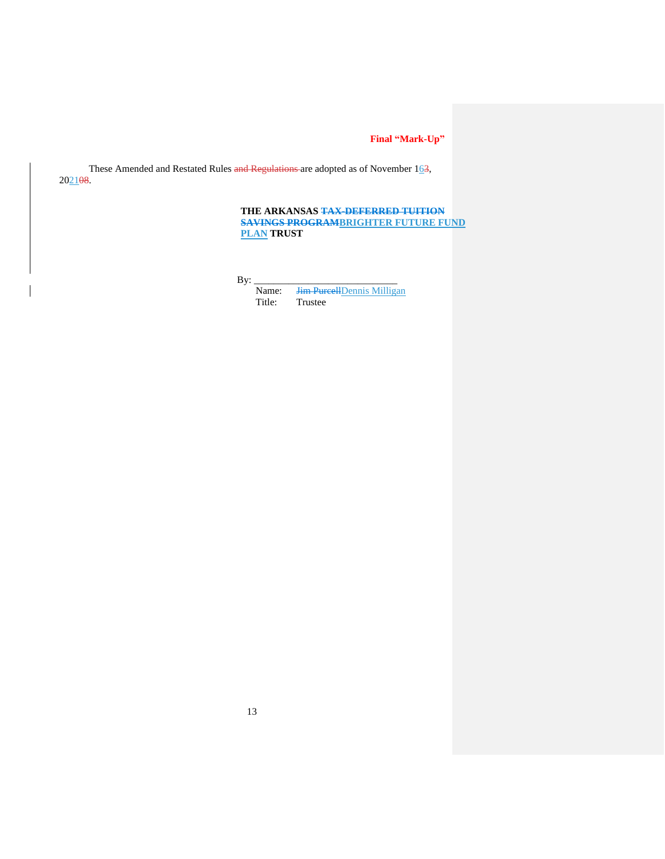These Amended and Restated Rules and Regulations are adopted as of November  $163$ , 202108.

## **THE ARKANSAS TAX-DEFERRED TUITION SAVINGS PROGRAMBRIGHTER FUTURE FUND PLAN TRUST**

By: $\_$ 

Name: <del>Jim Purcell</del> Dennis Milligan<br>Title: Trustee **Trustee**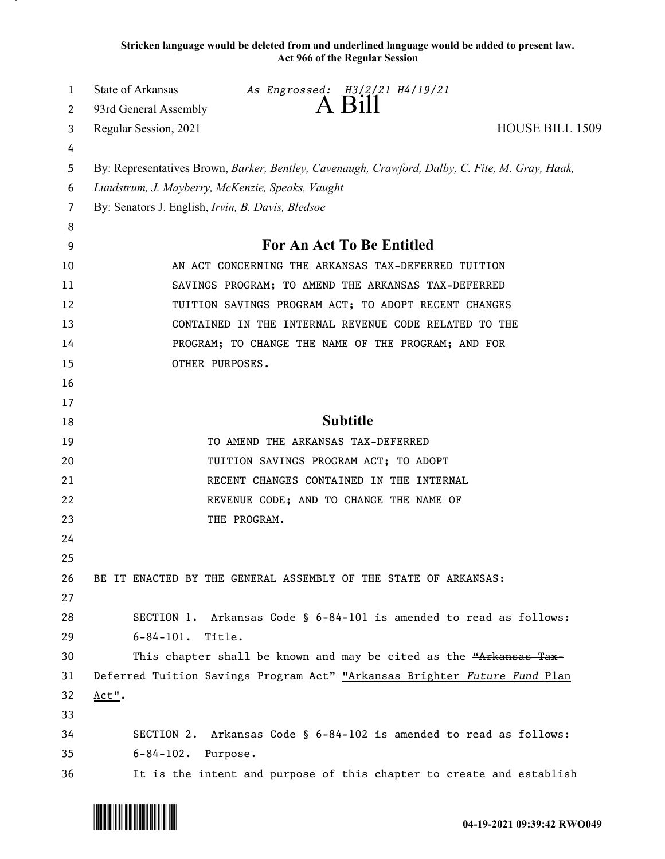**Stricken language would be deleted from and underlined language would be added to present law. Act 966 of the Regular Session**

| 1  | State of Arkansas<br>As Engrossed: H3/2/21 H4/19/21                                             |
|----|-------------------------------------------------------------------------------------------------|
| 2  | $A$ Bill<br>93rd General Assembly                                                               |
| 3  | <b>HOUSE BILL 1509</b><br>Regular Session, 2021                                                 |
| 4  |                                                                                                 |
| 5  | By: Representatives Brown, Barker, Bentley, Cavenaugh, Crawford, Dalby, C. Fite, M. Gray, Haak, |
| 6  | Lundstrum, J. Mayberry, McKenzie, Speaks, Vaught                                                |
| 7  | By: Senators J. English, Irvin, B. Davis, Bledsoe                                               |
| 8  |                                                                                                 |
| 9  | For An Act To Be Entitled                                                                       |
| 10 | AN ACT CONCERNING THE ARKANSAS TAX-DEFERRED TUITION                                             |
| 11 | SAVINGS PROGRAM; TO AMEND THE ARKANSAS TAX-DEFERRED                                             |
| 12 | TUITION SAVINGS PROGRAM ACT; TO ADOPT RECENT CHANGES                                            |
| 13 | CONTAINED IN THE INTERNAL REVENUE CODE RELATED TO THE                                           |
| 14 | PROGRAM; TO CHANGE THE NAME OF THE PROGRAM; AND FOR                                             |
| 15 | OTHER PURPOSES.                                                                                 |
| 16 |                                                                                                 |
| 17 |                                                                                                 |
| 18 | <b>Subtitle</b>                                                                                 |
| 19 | TO AMEND THE ARKANSAS TAX-DEFERRED                                                              |
| 20 | TUITION SAVINGS PROGRAM ACT; TO ADOPT                                                           |
| 21 | RECENT CHANGES CONTAINED IN THE INTERNAL                                                        |
| 22 | REVENUE CODE; AND TO CHANGE THE NAME OF                                                         |
| 23 | THE PROGRAM.                                                                                    |
| 24 |                                                                                                 |
| 25 |                                                                                                 |
| 26 | BE IT ENACTED BY THE GENERAL ASSEMBLY OF THE STATE OF ARKANSAS:                                 |
| 27 |                                                                                                 |
| 28 | SECTION 1. Arkansas Code § 6-84-101 is amended to read as follows:                              |
| 29 | $6 - 84 - 101$ .<br>Title.                                                                      |
| 30 | This chapter shall be known and may be cited as the "Arkansas Tax-                              |
| 31 | Deferred Tuition Savings Program Act" "Arkansas Brighter Future Fund Plan                       |
| 32 | Act".                                                                                           |
| 33 |                                                                                                 |
| 34 | SECTION 2. Arkansas Code § 6-84-102 is amended to read as follows:                              |
| 35 | $6 - 84 - 102$ .<br>Purpose.                                                                    |
| 36 | It is the intent and purpose of this chapter to create and establish                            |

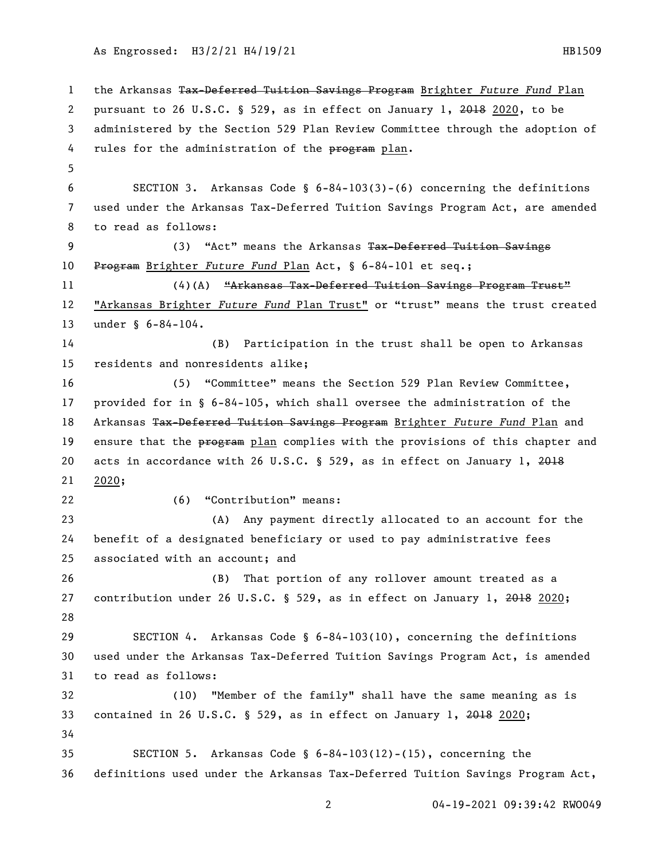As Engrossed: H3/2/21 H4/19/21 112 12:00 12:00 12:00 12:00 12:00 12:00 12:00 12:00 12:00 12:00 12:00 12:00 12:0

 the Arkansas Tax-Deferred Tuition Savings Program Brighter *Future Fund* Plan pursuant to 26 U.S.C. § 529, as in effect on January 1, 2018 2020, to be administered by the Section 529 Plan Review Committee through the adoption of 4 rules for the administration of the program plan. SECTION 3. Arkansas Code § 6-84-103(3)-(6) concerning the definitions used under the Arkansas Tax-Deferred Tuition Savings Program Act, are amended to read as follows: 9 (3) "Act" means the Arkansas Tax-Deferred Tuition Savings Program Brighter *Future Fund* Plan Act, § 6-84-101 et seq.; 11 (4)(A) 
"Arkansas Tax-Deferred Tuition Savings Program Trust" "Arkansas Brighter *Future Fund* Plan Trust" or "trust" means the trust created under § 6-84-104. (B) Participation in the trust shall be open to Arkansas residents and nonresidents alike; (5) "Committee" means the Section 529 Plan Review Committee, provided for in § 6-84-105, which shall oversee the administration of the Arkansas Tax-Deferred Tuition Savings Program Brighter *Future Fund* Plan and 19 ensure that the program plan complies with the provisions of this chapter and 20 acts in accordance with 26 U.S.C. § 529, as in effect on January 1, 2020; (6) "Contribution" means: (A) Any payment directly allocated to an account for the benefit of a designated beneficiary or used to pay administrative fees associated with an account; and (B) That portion of any rollover amount treated as a contribution under 26 U.S.C. § 529, as in effect on January 1, 2018 2020; SECTION 4. Arkansas Code § 6-84-103(10), concerning the definitions used under the Arkansas Tax-Deferred Tuition Savings Program Act, is amended to read as follows: (10) "Member of the family" shall have the same meaning as is contained in 26 U.S.C. § 529, as in effect on January 1, 2018 2020; SECTION 5. Arkansas Code § 6-84-103(12)-(15), concerning the definitions used under the Arkansas Tax-Deferred Tuition Savings Program Act,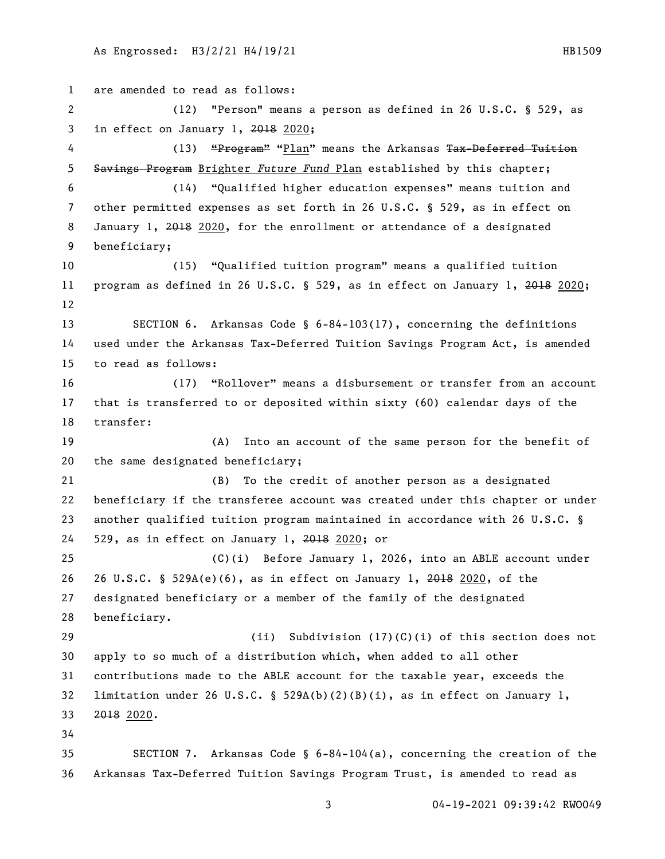```
1 are amended to read as follows:
 2 (12) "Person" means a person as defined in 26 U.S.C. § 529, as 
3 in effect on January 1, 2018 2020;
4 (13) "Program" "Plan" means the Arkansas Tax-Deferred Tuition
5 Savings Program Brighter Future Fund Plan established by this chapter;
6 (14) "Qualified higher education expenses" means tuition and 
7 other permitted expenses as set forth in 26 U.S.C. § 529, as in effect on 
8 January 1, 2018 2020, for the enrollment or attendance of a designated 
9 beneficiary;
10 (15) "Qualified tuition program" means a qualified tuition 
11 program as defined in 26 U.S.C. § 529, as in effect on January 1, 2018 2020;
12
13 SECTION 6. Arkansas Code § 6-84-103(17), concerning the definitions 
14 used under the Arkansas Tax-Deferred Tuition Savings Program Act, is amended 
15 to read as follows:
16 (17) "Rollover" means a disbursement or transfer from an account 
17 that is transferred to or deposited within sixty (60) calendar days of the 
18 transfer:
19 (A) Into an account of the same person for the benefit of 
20 the same designated beneficiary;
21 (B) To the credit of another person as a designated 
22 beneficiary if the transferee account was created under this chapter or under 
23 another qualified tuition program maintained in accordance with 26 U.S.C. § 
24 529, as in effect on January 1, 2018 2020; or
25 (C)(i) Before January 1, 2026, into an ABLE account under 
26 26 U.S.C. § 529A(e)(6), as in effect on January 1, 2018 2020, of the 
27 designated beneficiary or a member of the family of the designated 
28 beneficiary.
29 (ii) Subdivision (17)(C)(i) of this section does not 
30 apply to so much of a distribution which, when added to all other 
31 contributions made to the ABLE account for the taxable year, exceeds the 
32 limitation under 26 U.S.C. § 529A(b)(2)(B)(i), as in effect on January 1, 
33 2018 2020.
34
35 SECTION 7. Arkansas Code § 6-84-104(a), concerning the creation of the 
36 Arkansas Tax-Deferred Tuition Savings Program Trust, is amended to read as
```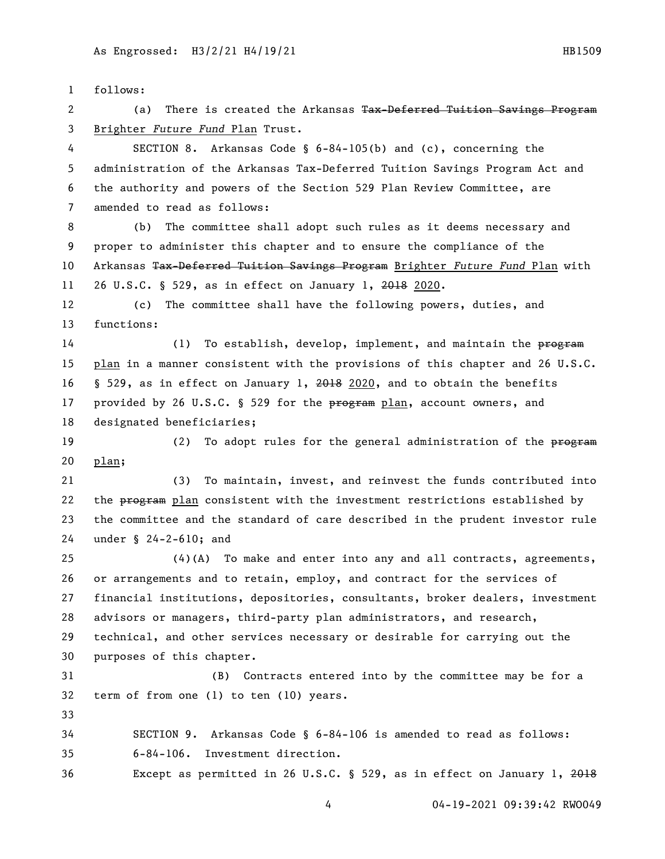follows: 2 (a) There is created the Arkansas Tax-Deferred Tuition Savings Program Brighter *Future Fund* Plan Trust. SECTION 8. Arkansas Code § 6-84-105(b) and (c), concerning the administration of the Arkansas Tax-Deferred Tuition Savings Program Act and the authority and powers of the Section 529 Plan Review Committee, are amended to read as follows: (b) The committee shall adopt such rules as it deems necessary and proper to administer this chapter and to ensure the compliance of the Arkansas Tax-Deferred Tuition Savings Program Brighter *Future Fund* Plan with 26 U.S.C. § 529, as in effect on January 1, 2018 2020. (c) The committee shall have the following powers, duties, and functions: 14 (1) To establish, develop, implement, and maintain the program plan in a manner consistent with the provisions of this chapter and 26 U.S.C. § 529, as in effect on January 1, 2018 2020, and to obtain the benefits 17 provided by 26 U.S.C. § 529 for the program plan, account owners, and designated beneficiaries; 19 (2) To adopt rules for the general administration of the program plan; (3) To maintain, invest, and reinvest the funds contributed into 22 the program plan consistent with the investment restrictions established by the committee and the standard of care described in the prudent investor rule under § 24-2-610; and (4)(A) To make and enter into any and all contracts, agreements, or arrangements and to retain, employ, and contract for the services of financial institutions, depositories, consultants, broker dealers, investment advisors or managers, third-party plan administrators, and research, technical, and other services necessary or desirable for carrying out the purposes of this chapter. (B) Contracts entered into by the committee may be for a term of from one (1) to ten (10) years. SECTION 9. Arkansas Code § 6-84-106 is amended to read as follows: 6-84-106. Investment direction. Except as permitted in 26 U.S.C. § 529, as in effect on January 1, 2018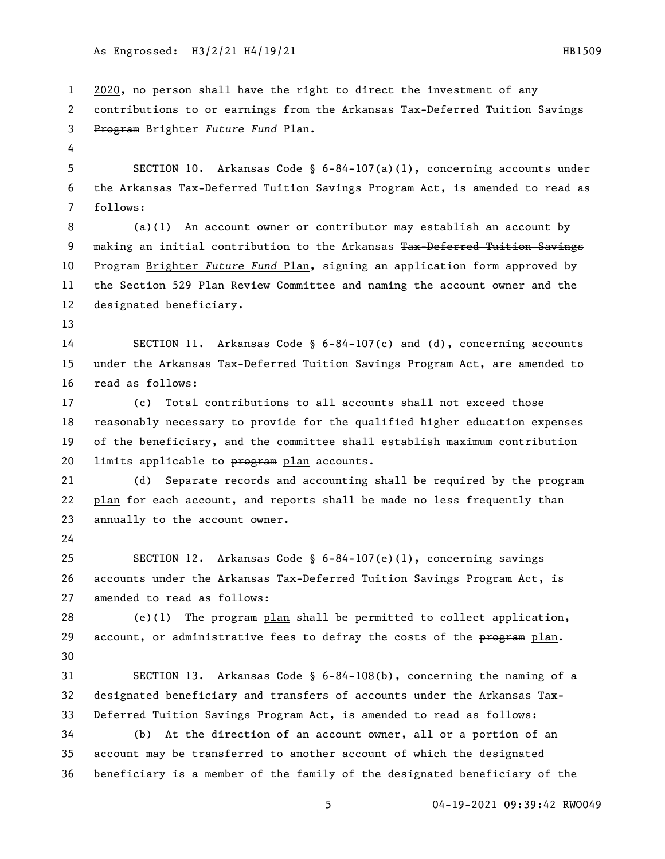As Engrossed: H3/2/21 H4/19/21 http://www.engrossed. HB1509

 2020, no person shall have the right to direct the investment of any 2 contributions to or earnings from the Arkansas Tax-Deferred Tuition Savings Program Brighter *Future Fund* Plan. SECTION 10. Arkansas Code § 6-84-107(a)(1), concerning accounts under the Arkansas Tax-Deferred Tuition Savings Program Act, is amended to read as follows: (a)(1) An account owner or contributor may establish an account by 9 making an initial contribution to the Arkansas Tax-Deferred Tuition Savings Program Brighter *Future Fund* Plan, signing an application form approved by the Section 529 Plan Review Committee and naming the account owner and the designated beneficiary. SECTION 11. Arkansas Code § 6-84-107(c) and (d), concerning accounts under the Arkansas Tax-Deferred Tuition Savings Program Act, are amended to read as follows: (c) Total contributions to all accounts shall not exceed those reasonably necessary to provide for the qualified higher education expenses of the beneficiary, and the committee shall establish maximum contribution 20 limits applicable to program plan accounts. 21 (d) Separate records and accounting shall be required by the program plan for each account, and reports shall be made no less frequently than annually to the account owner. SECTION 12. Arkansas Code § 6-84-107(e)(1), concerning savings accounts under the Arkansas Tax-Deferred Tuition Savings Program Act, is amended to read as follows: 28 (e)(1) The  $\frac{1}{2}$  permitted to collect application, 29 account, or administrative fees to defray the costs of the  $\frac{p}{p+1}$  plan. SECTION 13. Arkansas Code § 6-84-108(b), concerning the naming of a designated beneficiary and transfers of accounts under the Arkansas Tax- Deferred Tuition Savings Program Act, is amended to read as follows: (b) At the direction of an account owner, all or a portion of an account may be transferred to another account of which the designated beneficiary is a member of the family of the designated beneficiary of the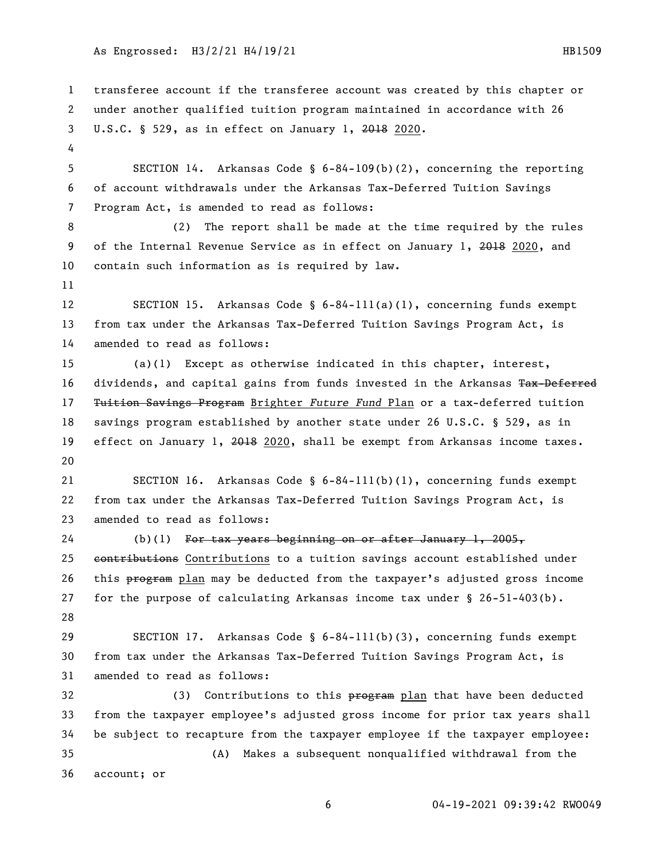As Engrossed: H3/2/21 H4/19/21 http://www.engrossed. HB1509

 transferee account if the transferee account was created by this chapter or under another qualified tuition program maintained in accordance with 26 U.S.C. § 529, as in effect on January 1, 2018 2020. SECTION 14. Arkansas Code § 6-84-109(b)(2), concerning the reporting of account withdrawals under the Arkansas Tax-Deferred Tuition Savings Program Act, is amended to read as follows: (2) The report shall be made at the time required by the rules 9 of the Internal Revenue Service as in effect on January 1, 2018 2020, and contain such information as is required by law. 12 SECTION 15. Arkansas Code § 6-84-111(a)(1), concerning funds exempt from tax under the Arkansas Tax-Deferred Tuition Savings Program Act, is amended to read as follows: (a)(1) Except as otherwise indicated in this chapter, interest, 16 dividends, and capital gains from funds invested in the Arkansas Tax-Deferred Tuition Savings Program Brighter *Future Fund* Plan or a tax-deferred tuition savings program established by another state under 26 U.S.C. § 529, as in 19 effect on January 1, 2018 2020, shall be exempt from Arkansas income taxes. SECTION 16. Arkansas Code § 6-84-111(b)(1), concerning funds exempt from tax under the Arkansas Tax-Deferred Tuition Savings Program Act, is amended to read as follows: (b)(1) For tax years beginning on or after January 1, 2005, 25 contributions Contributions to a tuition savings account established under 26 this program plan may be deducted from the taxpayer's adjusted gross income for the purpose of calculating Arkansas income tax under § 26-51-403(b). SECTION 17. Arkansas Code § 6-84-111(b)(3), concerning funds exempt from tax under the Arkansas Tax-Deferred Tuition Savings Program Act, is amended to read as follows: 32 (3) Contributions to this program plan that have been deducted from the taxpayer employee's adjusted gross income for prior tax years shall be subject to recapture from the taxpayer employee if the taxpayer employee: (A) Makes a subsequent nonqualified withdrawal from the account; or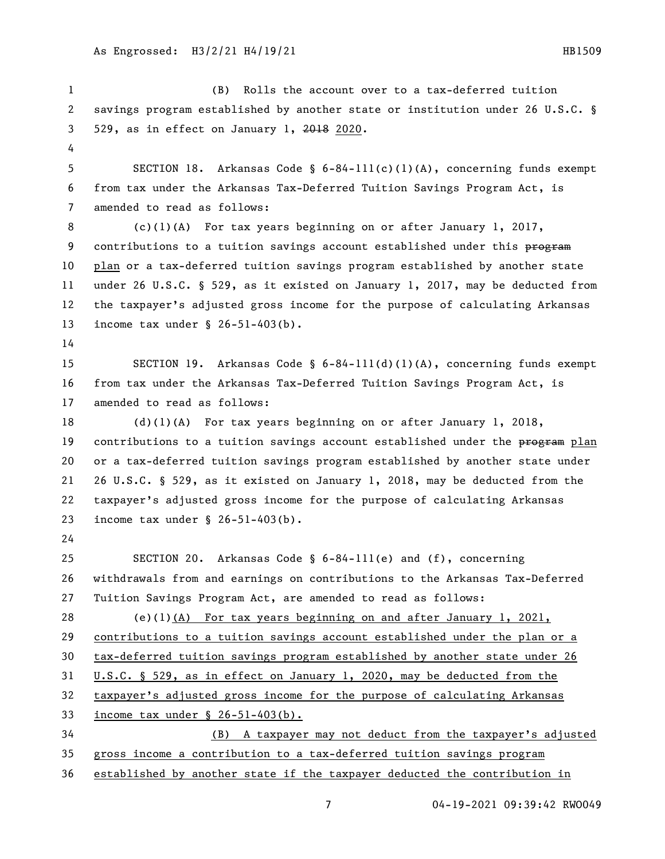(B) Rolls the account over to a tax-deferred tuition savings program established by another state or institution under 26 U.S.C. § 529, as in effect on January 1, 2018 2020. SECTION 18. Arkansas Code § 6-84-111(c)(1)(A), concerning funds exempt from tax under the Arkansas Tax-Deferred Tuition Savings Program Act, is amended to read as follows: (c)(1)(A) For tax years beginning on or after January 1, 2017, 9 contributions to a tuition savings account established under this program plan or a tax-deferred tuition savings program established by another state under 26 U.S.C. § 529, as it existed on January 1, 2017, may be deducted from the taxpayer's adjusted gross income for the purpose of calculating Arkansas income tax under § 26-51-403(b). SECTION 19. Arkansas Code § 6-84-111(d)(1)(A), concerning funds exempt from tax under the Arkansas Tax-Deferred Tuition Savings Program Act, is amended to read as follows: (d)(1)(A) For tax years beginning on or after January 1, 2018, 19 contributions to a tuition savings account established under the program plan or a tax-deferred tuition savings program established by another state under 26 U.S.C. § 529, as it existed on January 1, 2018, may be deducted from the taxpayer's adjusted gross income for the purpose of calculating Arkansas income tax under § 26-51-403(b). SECTION 20. Arkansas Code § 6-84-111(e) and (f), concerning withdrawals from and earnings on contributions to the Arkansas Tax-Deferred Tuition Savings Program Act, are amended to read as follows: (e)(1)(A) For tax years beginning on and after January 1, 2021, contributions to a tuition savings account established under the plan or a tax-deferred tuition savings program established by another state under 26 U.S.C. § 529, as in effect on January 1, 2020, may be deducted from the taxpayer's adjusted gross income for the purpose of calculating Arkansas income tax under § 26-51-403(b). (B) A taxpayer may not deduct from the taxpayer's adjusted gross income a contribution to a tax-deferred tuition savings program established by another state if the taxpayer deducted the contribution in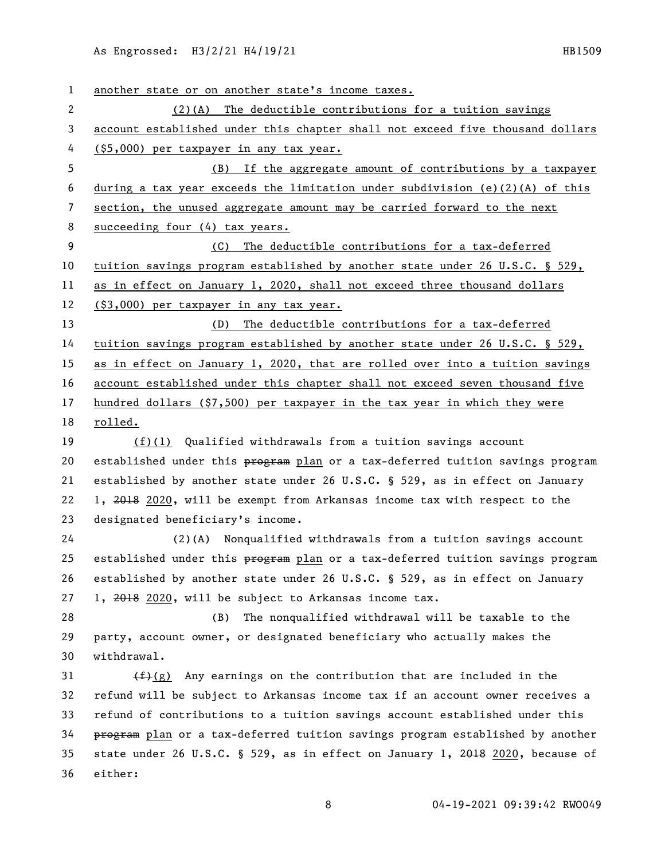| $\mathbf{1}$ | another state or on another state's income taxes.                              |
|--------------|--------------------------------------------------------------------------------|
| $\mathbf{2}$ | $(2)(A)$ The deductible contributions for a tuition savings                    |
| 3            | account established under this chapter shall not exceed five thousand dollars  |
| 4            | (\$5,000) per taxpayer in any tax year.                                        |
| 5            | (B) If the aggregate amount of contributions by a taxpayer                     |
| 6            | during a tax year exceeds the limitation under subdivision $(e)(2)(A)$ of this |
| 7            | section, the unused aggregate amount may be carried forward to the next        |
| 8            | succeeding four (4) tax years.                                                 |
| 9            | The deductible contributions for a tax-deferred<br>(C)                         |
| 10           | tuition savings program established by another state under 26 U.S.C. § 529,    |
| 11           | as in effect on January 1, 2020, shall not exceed three thousand dollars       |
| 12           | (\$3,000) per taxpayer in any tax year.                                        |
| 13           | (D) The deductible contributions for a tax-deferred                            |
| 14           | tuition savings program established by another state under 26 U.S.C. § 529,    |
| 15           | as in effect on January 1, 2020, that are rolled over into a tuition savings   |
| 16           | account established under this chapter shall not exceed seven thousand five    |
| 17           | hundred dollars $(\$7,500)$ per taxpayer in the tax year in which they were    |
| 18           | rolled.                                                                        |
| 19           | $(f)(1)$ Qualified withdrawals from a tuition savings account                  |
| 20           | established under this program plan or a tax-deferred tuition savings program  |
| 21           | established by another state under 26 U.S.C. § 529, as in effect on January    |
| 22           | 1, 2018 2020, will be exempt from Arkansas income tax with respect to the      |
| 23           | designated beneficiary's income.                                               |
| 24           | (2)(A) Nonqualified withdrawals from a tuition savings account                 |
| 25           | established under this program plan or a tax-deferred tuition savings program  |
| 26           | established by another state under 26 U.S.C. § 529, as in effect on January    |
| 27           | 1, 2018 2020, will be subject to Arkansas income tax.                          |
| 28           | The nonqualified withdrawal will be taxable to the<br>(B)                      |
| 29           | party, account owner, or designated beneficiary who actually makes the         |
| 30           | withdrawal.                                                                    |
| 31           | $(f)(g)$ Any earnings on the contribution that are included in the             |
| 32           | refund will be subject to Arkansas income tax if an account owner receives a   |
| 33           | refund of contributions to a tuition savings account established under this    |
| 34           | program plan or a tax-deferred tuition savings program established by another  |
| 35           | state under 26 U.S.C. § 529, as in effect on January 1, 2018 2020, because of  |
| 36           | either:                                                                        |
|              | 04-19-2021 09:39:42 RW0049<br>8                                                |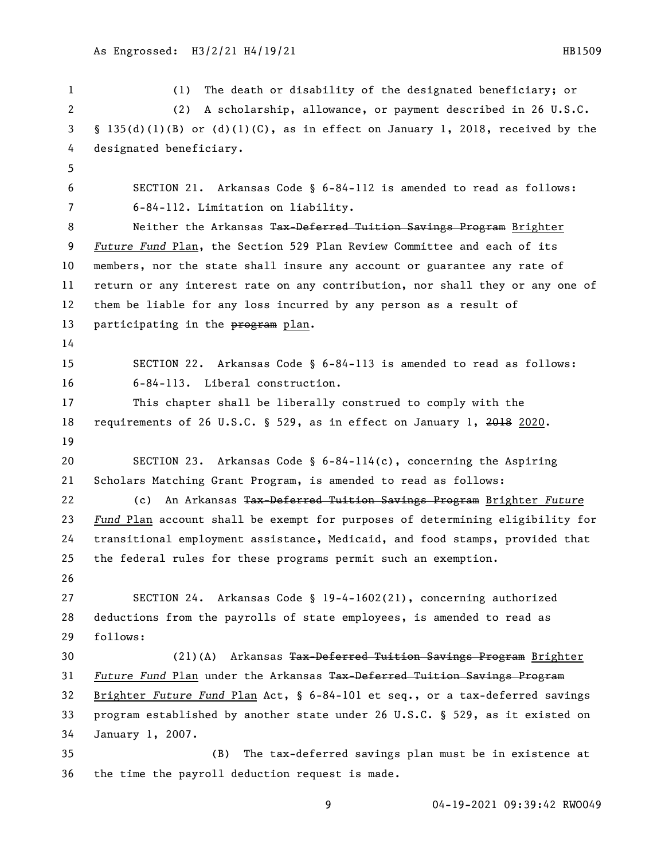(1) The death or disability of the designated beneficiary; or (2) A scholarship, allowance, or payment described in 26 U.S.C. § 135(d)(1)(B) or (d)(1)(C), as in effect on January 1, 2018, received by the designated beneficiary. SECTION 21. Arkansas Code § 6-84-112 is amended to read as follows: 6-84-112. Limitation on liability. 8 Neither the Arkansas Tax-Deferred Tuition Savings Program Brighter *Future Fund* Plan, the Section 529 Plan Review Committee and each of its members, nor the state shall insure any account or guarantee any rate of return or any interest rate on any contribution, nor shall they or any one of them be liable for any loss incurred by any person as a result of 13 participating in the program plan. SECTION 22. Arkansas Code § 6-84-113 is amended to read as follows: 6-84-113. Liberal construction. This chapter shall be liberally construed to comply with the 18 requirements of 26 U.S.C. § 529, as in effect on January 1, 2018 2020. SECTION 23. Arkansas Code § 6-84-114(c), concerning the Aspiring Scholars Matching Grant Program, is amended to read as follows: (c) An Arkansas Tax-Deferred Tuition Savings Program Brighter *Future Fund* Plan account shall be exempt for purposes of determining eligibility for transitional employment assistance, Medicaid, and food stamps, provided that the federal rules for these programs permit such an exemption. SECTION 24. Arkansas Code § 19-4-1602(21), concerning authorized deductions from the payrolls of state employees, is amended to read as follows: 30 (21)(A) Arkansas Tax-Deferred Tuition Savings Program Brighter *Future Fund* Plan under the Arkansas Tax-Deferred Tuition Savings Program Brighter *Future Fund* Plan Act, § 6-84-101 et seq., or a tax-deferred savings program established by another state under 26 U.S.C. § 529, as it existed on January 1, 2007. (B) The tax-deferred savings plan must be in existence at the time the payroll deduction request is made.